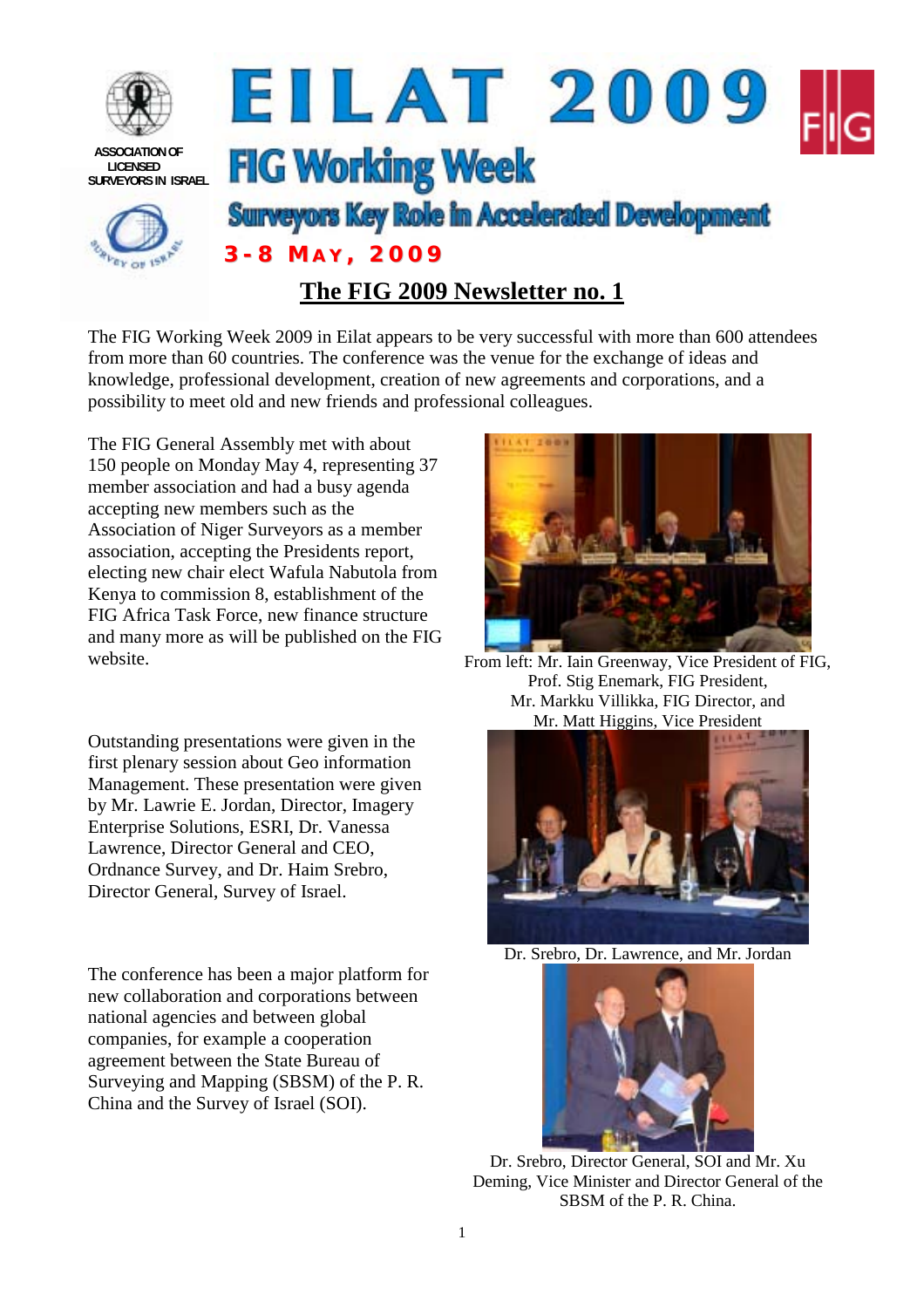

The FIG Working Week 2009 in Eilat appears to be very successful with more than 600 attendees from more than 60 countries. The conference was the venue for the exchange of ideas and knowledge, professional development, creation of new agreements and corporations, and a possibility to meet old and new friends and professional colleagues.

The FIG General Assembly met with about 150 people on Monday May 4, representing 37 member association and had a busy agenda accepting new members such as the Association of Niger Surveyors as a member association, accepting the Presidents report, electing new chair elect Wafula Nabutola from Kenya to commission 8, establishment of the FIG Africa Task Force, new finance structure and many more as will be published on the FIG website. From left: Mr. Iain Greenway, Vice President of FIG,

Outstanding presentations were given in the first plenary session about Geo information Management. These presentation were given by Mr. Lawrie E. Jordan, Director, Imagery Enterprise Solutions, ESRI, Dr. Vanessa Lawrence, Director General and CEO, Ordnance Survey, and Dr. Haim Srebro, Director General, Survey of Israel.

The conference has been a major platform for new collaboration and corporations between national agencies and between global companies, for example a cooperation agreement between the State Bureau of Surveying and Mapping (SBSM) of the P. R. China and the Survey of Israel (SOI).



Prof. Stig Enemark, FIG President, Mr. Markku Villikka, FIG Director, and Mr. Matt Higgins, Vice President



Dr. Srebro, Dr. Lawrence, and Mr. Jordan



Dr. Srebro, Director General, SOI and Mr. Xu Deming, Vice Minister and Director General of the SBSM of the P. R. China.